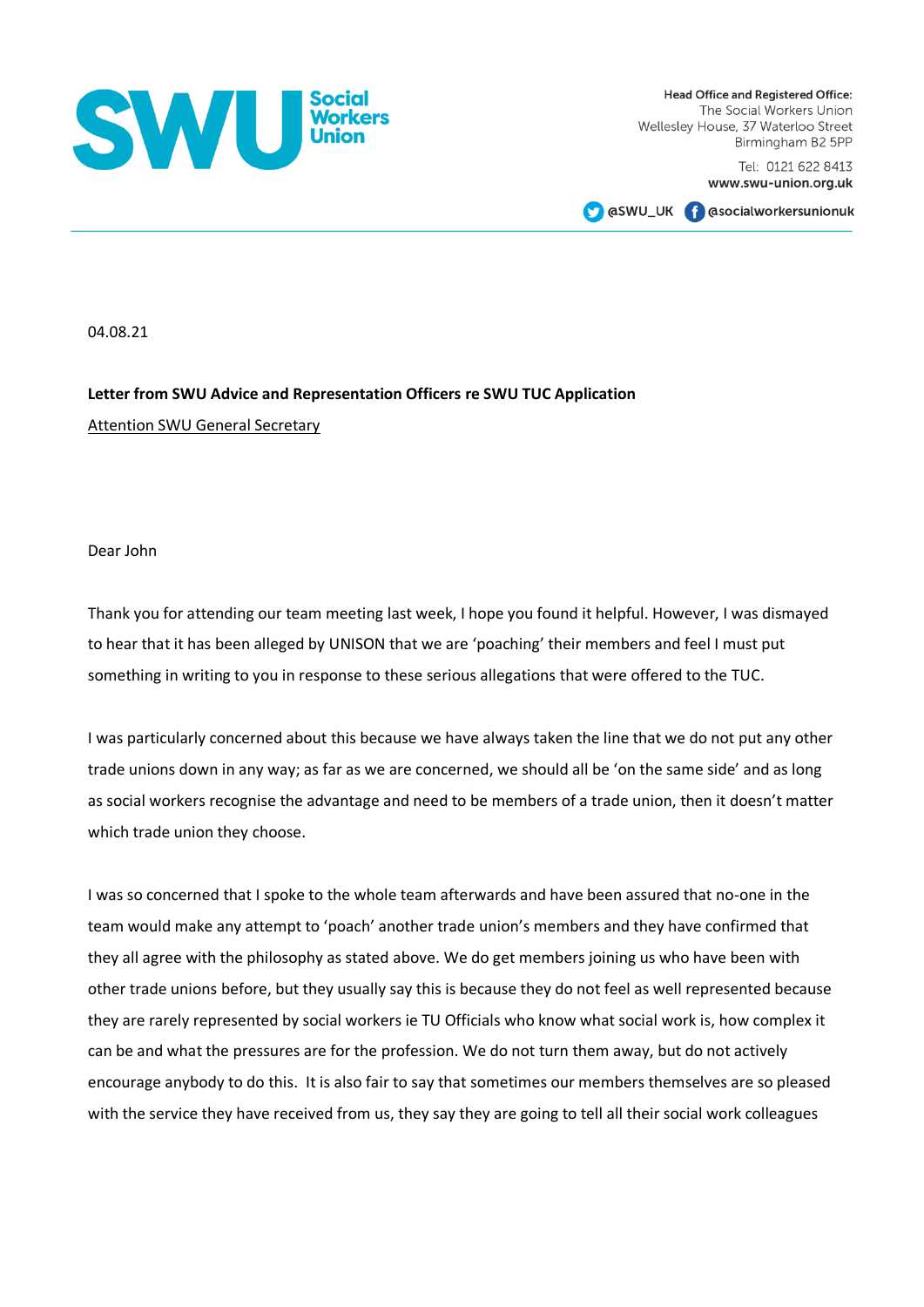

Head Office and Registered Office: The Social Workers Union Wellesley House, 37 Waterloo Street Birmingham B2 5PP

> Tel: 0121 622 8413 www.swu-union.org.uk

**CO** @SWU\_UK **CO** @Socialworkersunionuk

04.08.21

## **Letter from SWU Advice and Representation Officers re SWU TUC Application**  Attention SWU General Secretary

Dear John

Thank you for attending our team meeting last week, I hope you found it helpful. However, I was dismayed to hear that it has been alleged by UNISON that we are 'poaching' their members and feel I must put something in writing to you in response to these serious allegations that were offered to the TUC.

I was particularly concerned about this because we have always taken the line that we do not put any other trade unions down in any way; as far as we are concerned, we should all be 'on the same side' and as long as social workers recognise the advantage and need to be members of a trade union, then it doesn't matter which trade union they choose.

I was so concerned that I spoke to the whole team afterwards and have been assured that no-one in the team would make any attempt to 'poach' another trade union's members and they have confirmed that they all agree with the philosophy as stated above. We do get members joining us who have been with other trade unions before, but they usually say this is because they do not feel as well represented because they are rarely represented by social workers ie TU Officials who know what social work is, how complex it can be and what the pressures are for the profession. We do not turn them away, but do not actively encourage anybody to do this. It is also fair to say that sometimes our members themselves are so pleased with the service they have received from us, they say they are going to tell all their social work colleagues